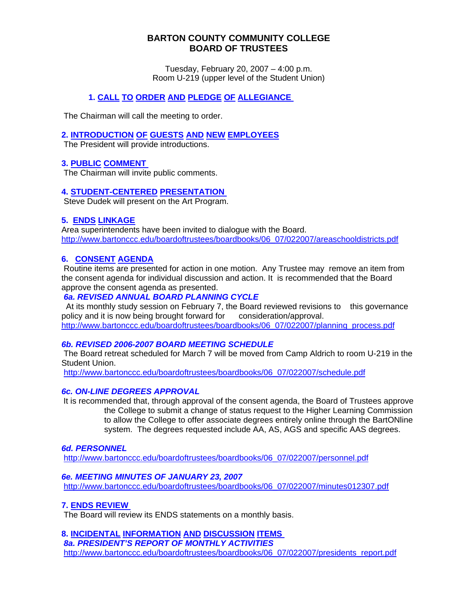# **BARTON COUNTY COMMUNITY COLLEGE BOARD OF TRUSTEES**

Tuesday, February 20, 2007 – 4:00 p.m. Room U-219 (upper level of the Student Union)

# **1. CALL TO ORDER AND PLEDGE OF ALLEGIANCE**

The Chairman will call the meeting to order.

## **2. INTRODUCTION OF GUESTS AND NEW EMPLOYEES**

The President will provide introductions.

## **3. PUBLIC COMMENT**

The Chairman will invite public comments.

## **4. STUDENT-CENTERED PRESENTATION**

Steve Dudek will present on the Art Program.

## **5. ENDS LINKAGE**

Area superintendents have been invited to dialogue with the Board. [http://www.bartonccc.edu/boardoftrustees/boardbooks/06\\_07/022007/areaschooldistricts.pdf](http://www.bartonccc.edu/boardoftrustees/boardbooks/06_07/022007/areaschooldistricts.pdf)

# **6. CONSENT AGENDA**

Routine items are presented for action in one motion. Any Trustee may remove an item from the consent agenda for individual discussion and action. It is recommended that the Board approve the consent agenda as presented.

# *6a. REVISED ANNUAL BOARD PLANNING CYCLE*

 At its monthly study session on February 7, the Board reviewed revisions to this governance policy and it is now being brought forward for consideration/approval. [http://www.bartonccc.edu/boardoftrustees/boardbooks/06\\_07/022007/planning\\_process.pdf](http://www.bartonccc.edu/boardoftrustees/boardbooks/06_07/022007/planning_process.pdf)

# *6b. REVISED 2006-2007 BOARD MEETING SCHEDULE*

The Board retreat scheduled for March 7 will be moved from Camp Aldrich to room U-219 in the Student Union.

[http://www.bartonccc.edu/boardoftrustees/boardbooks/06\\_07/022007/schedule.pdf](http://www.bartonccc.edu/boardoftrustees/boardbooks/06_07/022007/schedule.pdf)

#### *6c. ON-LINE DEGREES APPROVAL*

It is recommended that, through approval of the consent agenda, the Board of Trustees approve the College to submit a change of status request to the Higher Learning Commission to allow the College to offer associate degrees entirely online through the BartONline system. The degrees requested include AA, AS, AGS and specific AAS degrees.

#### *6d. PERSONNEL*

[http://www.bartonccc.edu/boardoftrustees/boardbooks/06\\_07/022007/personnel.pdf](http://www.bartonccc.edu/boardoftrustees/boardbooks/06_07/022007/personnel.pdf)

#### *6e. MEETING MINUTES OF JANUARY 23, 2007*

[http://www.bartonccc.edu/boardoftrustees/boardbooks/06\\_07/022007/minutes012307.pdf](http://www.bartonccc.edu/boardoftrustees/boardbooks/06_07/022007/minutes012307.pdf)

#### **7. ENDS REVIEW**

The Board will review its ENDS statements on a monthly basis.

# **8. INCIDENTAL INFORMATION AND DISCUSSION ITEMS**

*8a. PRESIDENT'S REPORT OF MONTHLY ACTIVITIES*  [http://www.bartonccc.edu/boardoftrustees/boardbooks/06\\_07/022007/presidents\\_report.pdf](http://www.bartonccc.edu/boardoftrustees/boardbooks/06_07/022007/presidents_report.pdf)